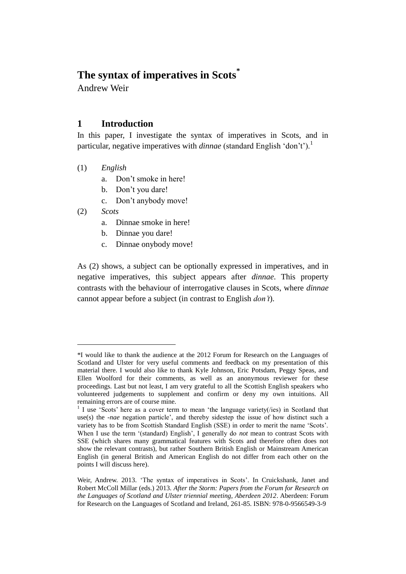# **The syntax of imperatives in Scots\***

Andrew Weir

## **1 Introduction**

In this paper, I investigate the syntax of imperatives in Scots, and in particular, negative imperatives with *dinnae* (standard English 'don't').<sup>1</sup>

- (1) *English*
	- a. Don't smoke in here!
	- b. Don't you dare!
	- c. Don't anybody move!

(2) *Scots*

 $\overline{a}$ 

- a. Dinnae smoke in here!
- b. Dinnae you dare!
- c. Dinnae onybody move!

As (2) shows, a subject can be optionally expressed in imperatives, and in negative imperatives, this subject appears after *dinnae*. This property contrasts with the behaviour of interrogative clauses in Scots, where *dinnae* cannot appear before a subject (in contrast to English *don't*).

<sup>\*</sup>I would like to thank the audience at the 2012 Forum for Research on the Languages of Scotland and Ulster for very useful comments and feedback on my presentation of this material there. I would also like to thank Kyle Johnson, Eric Potsdam, Peggy Speas, and Ellen Woolford for their comments, as well as an anonymous reviewer for these proceedings. Last but not least, I am very grateful to all the Scottish English speakers who volunteered judgements to supplement and confirm or deny my own intuitions. All remaining errors are of course mine.

<sup>&</sup>lt;sup>1</sup> I use 'Scots' here as a cover term to mean 'the language variety(/ies) in Scotland that use(s) the *-nae* negation particle', and thereby sidestep the issue of how distinct such a variety has to be from Scottish Standard English (SSE) in order to merit the name 'Scots'. When I use the term '(standard) English', I generally do *not* mean to contrast Scots with SSE (which shares many grammatical features with Scots and therefore often does not show the relevant contrasts), but rather Southern British English or Mainstream American English (in general British and American English do not differ from each other on the points I will discuss here).

Weir, Andrew. 2013. 'The syntax of imperatives in Scots'. In Cruickshank, Janet and Robert McColl Millar (eds.) 2013. *After the Storm: Papers from the Forum for Research on the Languages of Scotland and Ulster triennial meeting, Aberdeen 2012*. Aberdeen: Forum for Research on the Languages of Scotland and Ireland, 261-85. ISBN: 978-0-9566549-3-9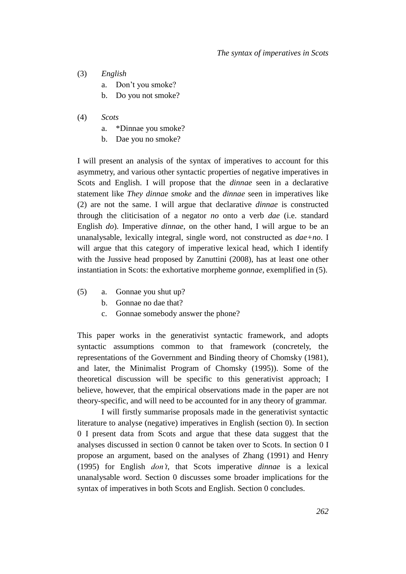- (3) *English*
	- a. Don't you smoke?
	- b. Do you not smoke?
- (4) *Scots*
	- a. \*Dinnae you smoke?
	- b. Dae you no smoke?

I will present an analysis of the syntax of imperatives to account for this asymmetry, and various other syntactic properties of negative imperatives in Scots and English. I will propose that the *dinnae* seen in a declarative statement like *They dinnae smoke* and the *dinnae* seen in imperatives like (2) are not the same. I will argue that declarative *dinnae* is constructed through the cliticisation of a negator *no* onto a verb *dae* (i.e. standard English *do*). Imperative *dinnae*, on the other hand, I will argue to be an unanalysable, lexically integral, single word, not constructed as *dae+no*. I will argue that this category of imperative lexical head, which I identify with the Jussive head proposed by Zanuttini (2008), has at least one other instantiation in Scots: the exhortative morpheme *gonnae*, exemplified in (5).

- (5) a. Gonnae you shut up?
	- b. Gonnae no dae that?
	- c. Gonnae somebody answer the phone?

This paper works in the generativist syntactic framework, and adopts syntactic assumptions common to that framework (concretely, the representations of the Government and Binding theory of Chomsky (1981), and later, the Minimalist Program of Chomsky (1995)). Some of the theoretical discussion will be specific to this generativist approach; I believe, however, that the empirical observations made in the paper are not theory-specific, and will need to be accounted for in any theory of grammar.

I will firstly summarise proposals made in the generativist syntactic literature to analyse (negative) imperatives in English (section [0\)](#page-2-0). In section [0](#page-7-0) I present data from Scots and argue that these data suggest that the analyses discussed in section [0](#page-2-0) cannot be taken over to Scots. In section [0](#page-14-0) I propose an argument, based on the analyses of Zhang (1991) and Henry (1995) for English *don't*, that Scots imperative *dinnae* is a lexical unanalysable word. Section [0](#page-18-0) discusses some broader implications for the syntax of imperatives in both Scots and English. Section [0](#page-22-0) concludes.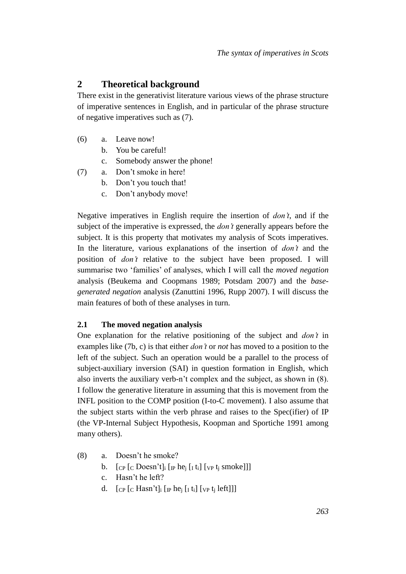## <span id="page-2-0"></span>**2 Theoretical background**

There exist in the generativist literature various views of the phrase structure of imperative sentences in English, and in particular of the phrase structure of negative imperatives such as (7).

- (6) a. Leave now!
	- b. You be careful!
	- c. Somebody answer the phone!
- (7) a. Don't smoke in here!
	- b. Don't you touch that!
	- c. Don't anybody move!

Negative imperatives in English require the insertion of *don't*, and if the subject of the imperative is expressed, the *don't* generally appears before the subject. It is this property that motivates my analysis of Scots imperatives. In the literature, various explanations of the insertion of *don't* and the position of *don't* relative to the subject have been proposed. I will summarise two 'families' of analyses, which I will call the *moved negation* analysis (Beukema and Coopmans 1989; Potsdam 2007) and the *basegenerated negation* analysis (Zanuttini 1996, Rupp 2007). I will discuss the main features of both of these analyses in turn.

## **2.1 The moved negation analysis**

One explanation for the relative positioning of the subject and *don't* in examples like (7b, c) is that either *don't* or *not* has moved to a position to the left of the subject. Such an operation would be a parallel to the process of subject-auxiliary inversion (SAI) in question formation in English, which also inverts the auxiliary verb-n't complex and the subject, as shown in (8). I follow the generative literature in assuming that this is movement from the INFL position to the COMP position (I-to-C movement). I also assume that the subject starts within the verb phrase and raises to the Spec(ifier) of IP (the VP-Internal Subject Hypothesis, Koopman and Sportiche 1991 among many others).

- (8) a. Doesn't he smoke?
	- b.  $\left[$ <sub>CP</sub> $\left[$ <sub>C</sub> Doesn't $\right]$ <sub>i</sub> $\left[$ <sub>IP</sub> he<sub>i</sub> $\left[$ <sub>I</sub> $\right]$  t<sub>i</sub> $\left[$ <sub>VP</sub> $\right]$ <sub>i</sub> smoke]]]
	- c. Hasn't he left?
	- d.  $\left[$ <sub>CP</sub> $\left[$ <sub>C</sub> Hasn't $\right]$ <sub>i</sub> $\left[$ <sub>IP</sub> he<sub>i</sub> $\left[$ <sub>I</sub> $\right]$ <sub>I</sub> $\left[$ <sub>VP</sub> $\left[$ <sub>i</sub> $\right]$  left]]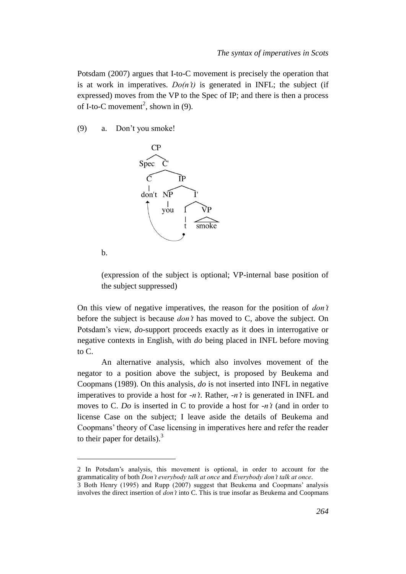Potsdam (2007) argues that I-to-C movement is precisely the operation that is at work in imperatives.  $Do(n^t)$  is generated in INFL; the subject (if expressed) moves from the VP to the Spec of IP; and there is then a process of I-to-C movement<sup>2</sup>, shown in (9).

(9) a. Don't you smoke!



b.

 $\overline{a}$ 

(expression of the subject is optional; VP-internal base position of the subject suppressed)

On this view of negative imperatives, the reason for the position of *don't* before the subject is because *don't* has moved to C, above the subject. On Potsdam's view, *do*-support proceeds exactly as it does in interrogative or negative contexts in English, with *do* being placed in INFL before moving to C.

An alternative analysis, which also involves movement of the negator to a position above the subject, is proposed by Beukema and Coopmans (1989). On this analysis, *do* is not inserted into INFL in negative imperatives to provide a host for *-n't*. Rather, *-n't* is generated in INFL and moves to C. *Do* is inserted in C to provide a host for *-n't* (and in order to license Case on the subject; I leave aside the details of Beukema and Coopmans' theory of Case licensing in imperatives here and refer the reader to their paper for details).<sup>3</sup>

2 In Potsdam's analysis, this movement is optional, in order to account for the grammaticality of both *Don't everybody talk at once* and *Everybody don't talk at once*.

<sup>3</sup> Both Henry (1995) and Rupp (2007) suggest that Beukema and Coopmans' analysis involves the direct insertion of *don't* into C. This is true insofar as Beukema and Coopmans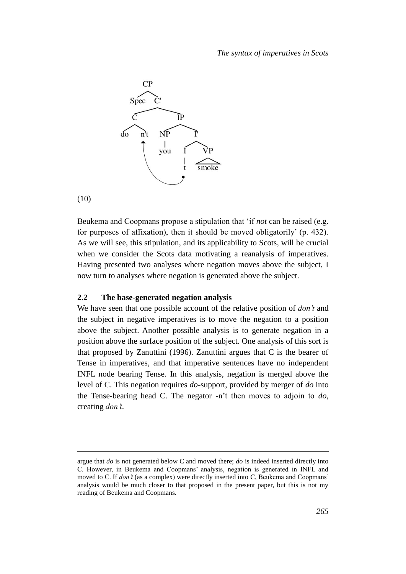

(10)

 $\overline{a}$ 

Beukema and Coopmans propose a stipulation that 'if *not* can be raised (e.g. for purposes of affixation), then it should be moved obligatorily' (p. 432). As we will see, this stipulation, and its applicability to Scots, will be crucial when we consider the Scots data motivating a reanalysis of imperatives. Having presented two analyses where negation moves above the subject, I now turn to analyses where negation is generated above the subject.

#### **2.2 The base-generated negation analysis**

We have seen that one possible account of the relative position of *don't* and the subject in negative imperatives is to move the negation to a position above the subject. Another possible analysis is to generate negation in a position above the surface position of the subject. One analysis of this sort is that proposed by Zanuttini (1996). Zanuttini argues that  $C$  is the bearer of Tense in imperatives, and that imperative sentences have no independent INFL node bearing Tense. In this analysis, negation is merged above the level of C. This negation requires *do*-support, provided by merger of *do* into the Tense-bearing head C. The negator -n't then moves to adjoin to *do*, creating *don't*.

argue that *do* is not generated below C and moved there; *do* is indeed inserted directly into C. However, in Beukema and Coopmans' analysis, negation is generated in INFL and moved to C. If *don't* (as a complex) were directly inserted into C, Beukema and Coopmans' analysis would be much closer to that proposed in the present paper, but this is not my reading of Beukema and Coopmans.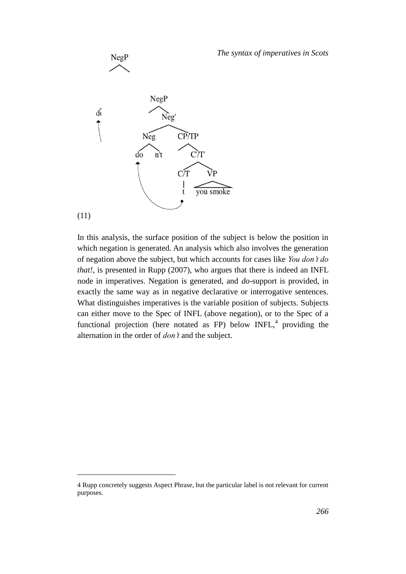

NegP

In this analysis, the surface position of the subject is below the position in which negation is generated. An analysis which also involves the generation of negation above the subject, but which accounts for cases like *You don't do that!*, is presented in Rupp (2007), who argues that there is indeed an INFL node in imperatives. Negation is generated, and *do*-support is provided, in exactly the same way as in negative declarative or interrogative sentences. What distinguishes imperatives is the variable position of subjects. Subjects can either move to the Spec of INFL (above negation), or to the Spec of a functional projection (here notated as FP) below  $INFL<sup>4</sup>$ , providing the alternation in the order of *don't* and the subject.

 $\overline{a}$ 

<sup>4</sup> Rupp concretely suggests Aspect Phrase, but the particular label is not relevant for current purposes.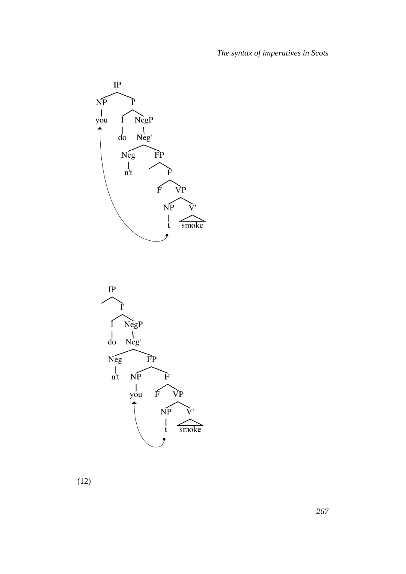



(12)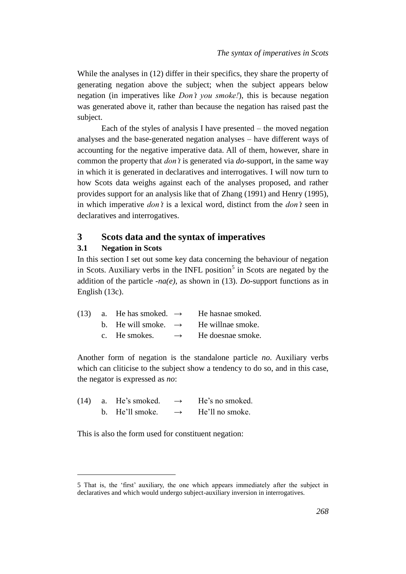While the analyses in  $(12)$  differ in their specifics, they share the property of generating negation above the subject; when the subject appears below negation (in imperatives like *Don't you smoke!*), this is because negation was generated above it, rather than because the negation has raised past the subject.

Each of the styles of analysis I have presented – the moved negation analyses and the base-generated negation analyses – have different ways of accounting for the negative imperative data. All of them, however, share in common the property that *don't* is generated via *do*-support, in the same way in which it is generated in declaratives and interrogatives. I will now turn to how Scots data weighs against each of the analyses proposed, and rather provides support for an analysis like that of Zhang (1991) and Henry (1995), in which imperative *don't* is a lexical word, distinct from the *don't* seen in declaratives and interrogatives.

## <span id="page-7-0"></span>**3 Scots data and the syntax of imperatives**

#### **3.1 Negation in Scots**

 $\overline{a}$ 

In this section I set out some key data concerning the behaviour of negation in Scots. Auxiliary verbs in the INFL position<sup>5</sup> in Scots are negated by the addition of the particle *-na(e)*, as shown in (13). *Do*-support functions as in English (13c).

|  | (13) a. He has smoked. $\rightarrow$ |               | He hasnae smoked. |
|--|--------------------------------------|---------------|-------------------|
|  | b. He will smoke. $\rightarrow$      |               | He willnae smoke. |
|  | c. He smokes.                        | $\rightarrow$ | He doesnae smoke. |

Another form of negation is the standalone particle *no*. Auxiliary verbs which can cliticise to the subject show a tendency to do so, and in this case, the negator is expressed as *no*:

| (14) | a. He's smoked. | $\rightarrow$ | He's no smoked. |
|------|-----------------|---------------|-----------------|
|      | b. He'll smoke. | $\rightarrow$ | He'll no smoke. |

This is also the form used for constituent negation:

<sup>5</sup> That is, the 'first' auxiliary, the one which appears immediately after the subject in declaratives and which would undergo subject-auxiliary inversion in interrogatives.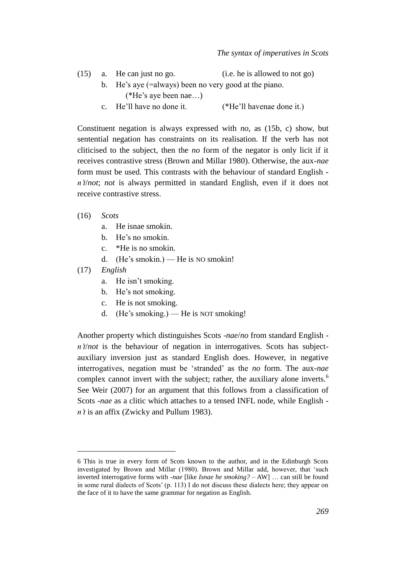|  | $(15)$ a. He can just no go. | (i.e. he is allowed to not go) |
|--|------------------------------|--------------------------------|
|  |                              |                                |

- b. He's aye (=always) been no very good at the piano. (\*He's aye been nae…)
- c. He'll have no done it. (\*He'll havenae done it.)

Constituent negation is always expressed with *no*, as (15b, c) show, but sentential negation has constraints on its realisation. If the verb has not cliticised to the subject, then the *no* form of the negator is only licit if it receives contrastive stress (Brown and Millar 1980). Otherwise, the aux-*nae* form must be used. This contrasts with the behaviour of standard English *n't*/*not*; *not* is always permitted in standard English, even if it does not receive contrastive stress.

- (16) *Scots*
	- a. He isnae smokin.
	- b. He's no smokin.
	- c. \*He is no smokin.
	- d. (He's smokin.) He is NO smokin!
- (17) *English*

 $\overline{a}$ 

- a. He isn't smoking.
- b. He's not smoking.
- c. He is not smoking.
- d. (He's smoking.) He is NOT smoking!

Another property which distinguishes Scots *-nae*/*no* from standard English  *n't/not* is the behaviour of negation in interrogatives. Scots has subjectauxiliary inversion just as standard English does. However, in negative interrogatives, negation must be 'stranded' as the *no* form. The aux-*nae*  complex cannot invert with the subject; rather, the auxiliary alone inverts.<sup>6</sup> See Weir (2007) for an argument that this follows from a classification of Scots *-nae* as a clitic which attaches to a tensed INFL node, while English  *n't* is an affix (Zwicky and Pullum 1983).

<sup>6</sup> This is true in every form of Scots known to the author, and in the Edinburgh Scots investigated by Brown and Millar (1980). Brown and Millar add, however, that 'such inverted interrogative forms with *-nae* [like *Isnae he smoking? –* AW] … can still be found in some rural dialects of Scots' (p. 113) I do not discuss these dialects here; they appear on the face of it to have the same grammar for negation as English.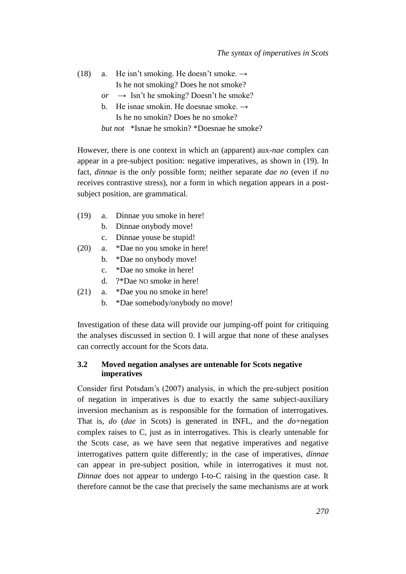| (18) | a. He isn't smoking. He doesn't smoke. $\rightarrow$ |  |
|------|------------------------------------------------------|--|
|      | Is he not smoking? Does he not smoke?                |  |
|      | or $\rightarrow$ Isn't he smoking? Doesn't he smoke? |  |
|      | b. He isnae smokin. He doesnae smoke. $\rightarrow$  |  |
|      | Is he no smokin? Does he no smoke?                   |  |

*but not* \*Isnae he smokin? \*Doesnae he smoke?

However, there is one context in which an (apparent) aux-*nae* complex can appear in a pre-subject position: negative imperatives, as shown in (19). In fact, *dinnae* is the *only* possible form; neither separate *dae no* (even if *no* receives contrastive stress), nor a form in which negation appears in a postsubject position, are grammatical.

- (19) a. Dinnae you smoke in here!
	- b. Dinnae onybody move!
	- c. Dinnae youse be stupid!
- (20) a. \*Dae no you smoke in here!
	- b. \*Dae no onybody move!
	- c. \*Dae no smoke in here!
	- d. ?\*Dae NO smoke in here!
- (21) a. \*Dae you no smoke in here!
	- b. \*Dae somebody/onybody no move!

Investigation of these data will provide our jumping-off point for critiquing the analyses discussed in section [0.](#page-2-0) I will argue that none of these analyses can correctly account for the Scots data.

#### **3.2 Moved negation analyses are untenable for Scots negative imperatives**

Consider first Potsdam's (2007) analysis, in which the pre-subject position of negation in imperatives is due to exactly the same subject-auxiliary inversion mechanism as is responsible for the formation of interrogatives. That is, *do* (*dae* in Scots) is generated in INFL, and the *do*+negation complex raises to C, just as in interrogatives. This is clearly untenable for the Scots case, as we have seen that negative imperatives and negative interrogatives pattern quite differently; in the case of imperatives, *dinnae* can appear in pre-subject position, while in interrogatives it must not. *Dinnae* does not appear to undergo I-to-C raising in the question case. It therefore cannot be the case that precisely the same mechanisms are at work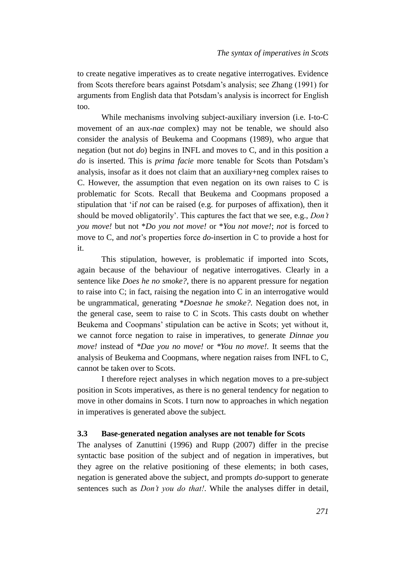to create negative imperatives as to create negative interrogatives. Evidence from Scots therefore bears against Potsdam's analysis; see Zhang (1991) for arguments from English data that Potsdam's analysis is incorrect for English too.

While mechanisms involving subject-auxiliary inversion (i.e. I-to-C movement of an aux-*nae* complex) may not be tenable, we should also consider the analysis of Beukema and Coopmans (1989), who argue that negation (but not *do*) begins in INFL and moves to C, and in this position a *do* is inserted. This is *prima facie* more tenable for Scots than Potsdam's analysis, insofar as it does not claim that an auxiliary+neg complex raises to C. However, the assumption that even negation on its own raises to C is problematic for Scots. Recall that Beukema and Coopmans proposed a stipulation that 'if *not* can be raised (e.g. for purposes of affixation), then it should be moved obligatorily'. This captures the fact that we see, e.g., *Don't you move!* but not \**Do you not move!* or \**You not move!*; *not* is forced to move to C, and *not*'s properties force *do*-insertion in C to provide a host for it.

This stipulation, however, is problematic if imported into Scots, again because of the behaviour of negative interrogatives. Clearly in a sentence like *Does he no smoke?*, there is no apparent pressure for negation to raise into C; in fact, raising the negation into C in an interrogative would be ungrammatical, generating \**Doesnae he smoke?.* Negation does not, in the general case, seem to raise to C in Scots. This casts doubt on whether Beukema and Coopmans' stipulation can be active in Scots; yet without it, we cannot force negation to raise in imperatives, to generate *Dinnae you move!* instead of *\*Dae you no move!* or *\*You no move!.* It seems that the analysis of Beukema and Coopmans, where negation raises from INFL to C, cannot be taken over to Scots.

I therefore reject analyses in which negation moves to a pre-subject position in Scots imperatives, as there is no general tendency for negation to move in other domains in Scots. I turn now to approaches in which negation in imperatives is generated above the subject.

#### <span id="page-10-0"></span>**3.3 Base-generated negation analyses are not tenable for Scots**

The analyses of Zanuttini (1996) and Rupp (2007) differ in the precise syntactic base position of the subject and of negation in imperatives, but they agree on the relative positioning of these elements; in both cases, negation is generated above the subject, and prompts *do*-support to generate sentences such as *Don't you do that!*. While the analyses differ in detail,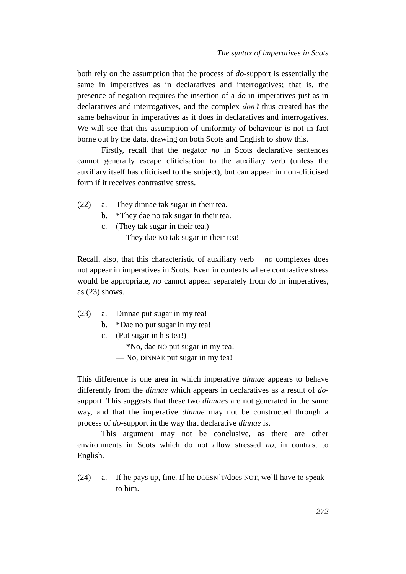both rely on the assumption that the process of *do*-support is essentially the same in imperatives as in declaratives and interrogatives; that is, the presence of negation requires the insertion of a *do* in imperatives just as in declaratives and interrogatives, and the complex *don't* thus created has the same behaviour in imperatives as it does in declaratives and interrogatives. We will see that this assumption of uniformity of behaviour is not in fact borne out by the data, drawing on both Scots and English to show this.

Firstly, recall that the negator *no* in Scots declarative sentences cannot generally escape cliticisation to the auxiliary verb (unless the auxiliary itself has cliticised to the subject), but can appear in non-cliticised form if it receives contrastive stress.

- (22) a. They dinnae tak sugar in their tea.
	- b. \*They dae no tak sugar in their tea.
	- c. (They tak sugar in their tea.)
		- They dae NO tak sugar in their tea!

Recall, also, that this characteristic of auxiliary verb  $+$  *no* complexes does not appear in imperatives in Scots. Even in contexts where contrastive stress would be appropriate, *no* cannot appear separately from *do* in imperatives, as (23) shows.

- (23) a. Dinnae put sugar in my tea!
	- b. \*Dae no put sugar in my tea!
	- c. (Put sugar in his tea!)
		- \*No, dae NO put sugar in my tea!
		- No, DINNAE put sugar in my tea!

This difference is one area in which imperative *dinnae* appears to behave differently from the *dinnae* which appears in declaratives as a result of *do*support. This suggests that these two *dinnae*s are not generated in the same way, and that the imperative *dinnae* may not be constructed through a process of *do*-support in the way that declarative *dinnae* is.

This argument may not be conclusive, as there are other environments in Scots which do not allow stressed *no*, in contrast to English.

(24) a. If he pays up, fine. If he DOESN'T/does NOT, we'll have to speak to him.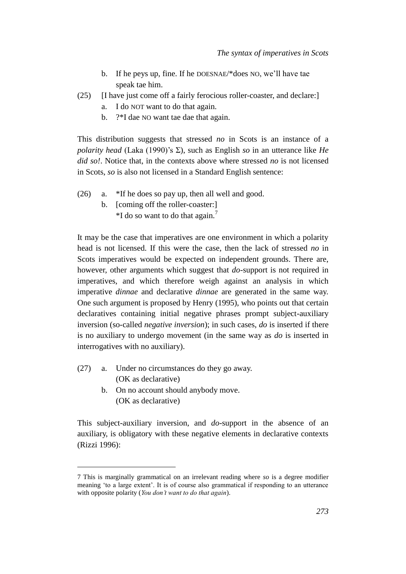- b. If he peys up, fine. If he DOESNAE/\*does NO, we'll have tae speak tae him.
- (25) [I have just come off a fairly ferocious roller-coaster, and declare:]
	- a. I do NOT want to do that again.
	- b. ?\*I dae NO want tae dae that again.

This distribution suggests that stressed *no* in Scots is an instance of a *polarity head* (Laka (1990)'s Σ), such as English *so* in an utterance like *He did so!*. Notice that, in the contexts above where stressed *no* is not licensed in Scots, *so* is also not licensed in a Standard English sentence:

- (26) a. \*If he does so pay up, then all well and good.
	- b. [coming off the roller-coaster:]  $*$ I do so want to do that again.<sup>7</sup>

It may be the case that imperatives are one environment in which a polarity head is not licensed. If this were the case, then the lack of stressed *no* in Scots imperatives would be expected on independent grounds. There are, however, other arguments which suggest that *do*-support is not required in imperatives, and which therefore weigh against an analysis in which imperative *dinnae* and declarative *dinnae* are generated in the same way. One such argument is proposed by Henry (1995), who points out that certain declaratives containing initial negative phrases prompt subject-auxiliary inversion (so-called *negative inversion*); in such cases, *do* is inserted if there is no auxiliary to undergo movement (in the same way as *do* is inserted in interrogatives with no auxiliary).

(27) a. Under no circumstances do they go away. (OK as declarative)

 $\overline{a}$ 

b. On no account should anybody move. (OK as declarative)

This subject-auxiliary inversion, and *do*-support in the absence of an auxiliary, is obligatory with these negative elements in declarative contexts (Rizzi 1996):

<sup>7</sup> This is marginally grammatical on an irrelevant reading where *so* is a degree modifier meaning 'to a large extent'. It is of course also grammatical if responding to an utterance with opposite polarity (*You don't want to do that again*).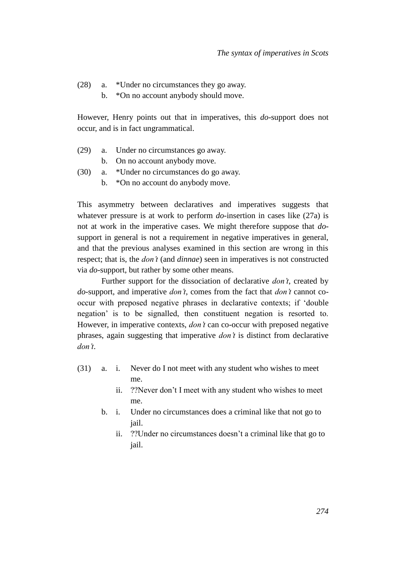- (28) a. \*Under no circumstances they go away.
	- b. \*On no account anybody should move.

However, Henry points out that in imperatives, this *do*-support does not occur, and is in fact ungrammatical.

- (29) a. Under no circumstances go away.
	- b. On no account anybody move.
- (30) a. \*Under no circumstances do go away.
	- b. \*On no account do anybody move.

This asymmetry between declaratives and imperatives suggests that whatever pressure is at work to perform *do*-insertion in cases like (27a) is not at work in the imperative cases. We might therefore suppose that *do*support in general is not a requirement in negative imperatives in general, and that the previous analyses examined in this section are wrong in this respect; that is, the *don't* (and *dinnae*) seen in imperatives is not constructed via *do*-support, but rather by some other means.

Further support for the dissociation of declarative *don't*, created by *do*-support, and imperative *don't*, comes from the fact that *don't* cannot cooccur with preposed negative phrases in declarative contexts; if 'double negation' is to be signalled, then constituent negation is resorted to. However, in imperative contexts, *don't* can co-occur with preposed negative phrases, again suggesting that imperative *don't* is distinct from declarative *don't*.

- (31) a. i. Never do I not meet with any student who wishes to meet me.
	- ii. ??Never don't I meet with any student who wishes to meet me.
	- b. i. Under no circumstances does a criminal like that not go to jail.
		- ii. ??Under no circumstances doesn't a criminal like that go to jail.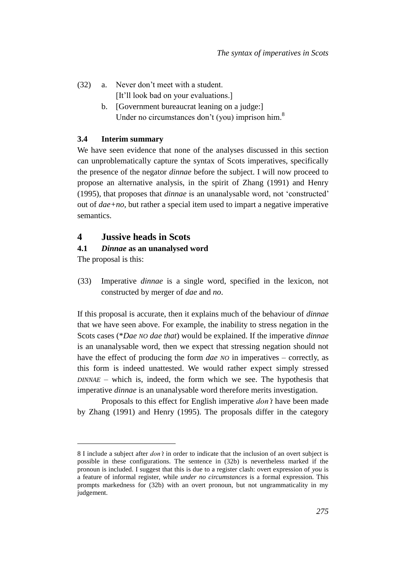- (32) a. Never don't meet with a student. [It'll look bad on your evaluations.]
	- b. [Government bureaucrat leaning on a judge:] Under no circumstances don't (you) imprison him.<sup>8</sup>

#### **3.4 Interim summary**

We have seen evidence that none of the analyses discussed in this section can unproblematically capture the syntax of Scots imperatives, specifically the presence of the negator *dinnae* before the subject. I will now proceed to propose an alternative analysis, in the spirit of Zhang (1991) and Henry (1995), that proposes that *dinnae* is an unanalysable word, not 'constructed' out of *dae+no*, but rather a special item used to impart a negative imperative semantics.

## <span id="page-14-1"></span><span id="page-14-0"></span>**4 Jussive heads in Scots**

#### **4.1** *Dinnae* **as an unanalysed word**

The proposal is this:

l

(33) Imperative *dinnae* is a single word, specified in the lexicon, not constructed by merger of *dae* and *no*.

If this proposal is accurate, then it explains much of the behaviour of *dinnae* that we have seen above. For example, the inability to stress negation in the Scots cases (\**Dae NO dae that*) would be explained. If the imperative *dinnae* is an unanalysable word, then we expect that stressing negation should not have the effect of producing the form *dae NO* in imperatives – correctly, as this form is indeed unattested. We would rather expect simply stressed *DINNAE* – which is, indeed, the form which we see. The hypothesis that imperative *dinnae* is an unanalysable word therefore merits investigation.

Proposals to this effect for English imperative *don't* have been made by Zhang (1991) and Henry (1995). The proposals differ in the category

<sup>8</sup> I include a subject after *don't* in order to indicate that the inclusion of an overt subject is possible in these configurations. The sentence in (32b) is nevertheless marked if the pronoun is included. I suggest that this is due to a register clash: overt expression of *you* is a feature of informal register, while *under no circumstances* is a formal expression. This prompts markedness for (32b) with an overt pronoun, but not ungrammaticality in my judgement.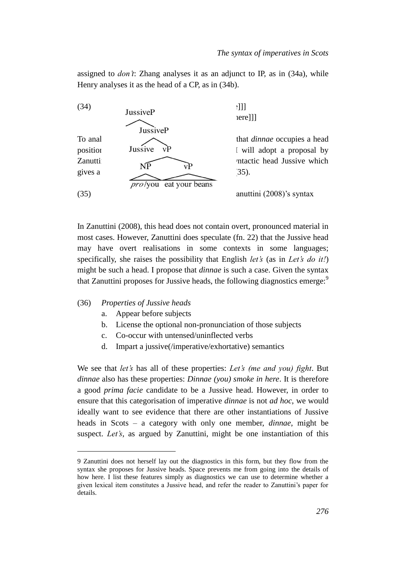assigned to *don't*: Zhang analyses it as an adjunct to IP, as in (34a), while Henry analyses it as the head of a CP, as in (34b).



In Zanuttini (2008), this head does not contain overt, pronounced material in most cases. However, Zanuttini does speculate (fn. 22) that the Jussive head may have overt realisations in some contexts in some languages; specifically, she raises the possibility that English *let's* (as in *Let's do it!*) might be such a head. I propose that *dinnae* is such a case. Given the syntax that Zanuttini proposes for Jussive heads, the following diagnostics emerge:<sup>9</sup>

(36) *Properties of Jussive heads*

 $\overline{a}$ 

- a. Appear before subjects
- b. License the optional non-pronunciation of those subjects
- c. Co-occur with untensed/uninflected verbs
- d. Impart a jussive(/imperative/exhortative) semantics

We see that *let's* has all of these properties: *Let's (me and you) fight*. But *dinnae* also has these properties: *Dinnae (you) smoke in here*. It is therefore a good *prima facie* candidate to be a Jussive head. However, in order to ensure that this categorisation of imperative *dinnae* is not *ad hoc*, we would ideally want to see evidence that there are other instantiations of Jussive heads in Scots – a category with only one member, *dinnae*, might be suspect. *Let's*, as argued by Zanuttini, might be one instantiation of this

<sup>9</sup> Zanuttini does not herself lay out the diagnostics in this form, but they flow from the syntax she proposes for Jussive heads. Space prevents me from going into the details of how here. I list these features simply as diagnostics we can use to determine whether a given lexical item constitutes a Jussive head, and refer the reader to Zanuttini's paper for details.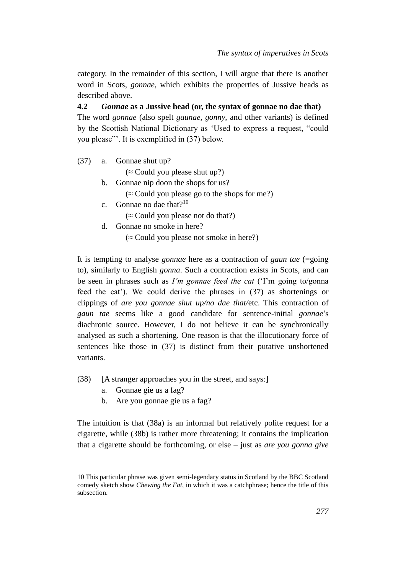category. In the remainder of this section, I will argue that there is another word in Scots, *gonnae*, which exhibits the properties of Jussive heads as described above.

**4.2** *Gonnae* **as a Jussive head (or, the syntax of gonnae no dae that)** The word *gonnae* (also spelt *gaunae, gonny*, and other variants) is defined by the Scottish National Dictionary as 'Used to express a request, "could you please"'. It is exemplified in (37) below.

(37) a. Gonnae shut up?

 $(\approx$  Could you please shut up?)

b. Gonnae nip doon the shops for us?

 $(\approx$  Could you please go to the shops for me?)

c. Gonnae no dae that? $10<sup>10</sup>$ 

 $(\approx$  Could you please not do that?)

d. Gonnae no smoke in here?

 $(\approx$  Could you please not smoke in here?)

It is tempting to analyse *gonnae* here as a contraction of *gaun tae* (=going to), similarly to English *gonna*. Such a contraction exists in Scots, and can be seen in phrases such as *I'm gonnae feed the cat* ('I'm going to/gonna feed the cat'). We could derive the phrases in (37) as shortenings or clippings of *are you gonnae shut up/no dae that/*etc. This contraction of *gaun tae* seems like a good candidate for sentence-initial *gonnae*'s diachronic source. However, I do not believe it can be synchronically analysed as such a shortening. One reason is that the illocutionary force of sentences like those in (37) is distinct from their putative unshortened variants.

- (38) [A stranger approaches you in the street, and says:]
	- a. Gonnae gie us a fag?

 $\overline{a}$ 

b. Are you gonnae gie us a fag?

The intuition is that (38a) is an informal but relatively polite request for a cigarette, while (38b) is rather more threatening; it contains the implication that a cigarette should be forthcoming, or else – just as *are you gonna give* 

<sup>10</sup> This particular phrase was given semi-legendary status in Scotland by the BBC Scotland comedy sketch show *Chewing the Fat*, in which it was a catchphrase; hence the title of this subsection.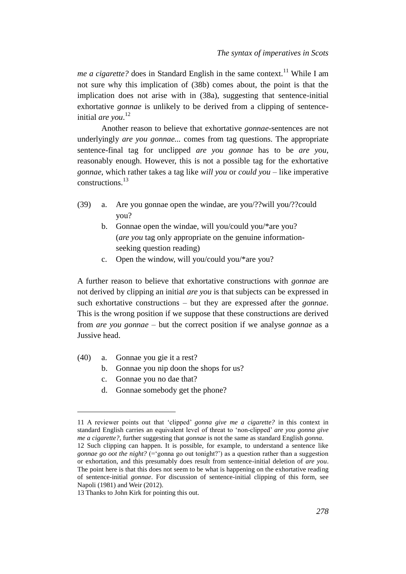*me a cigarette?* does in Standard English in the same context.<sup>11</sup> While I am not sure why this implication of (38b) comes about, the point is that the implication does not arise with in (38a), suggesting that sentence-initial exhortative *gonnae* is unlikely to be derived from a clipping of sentenceinitial *are you*. 12

Another reason to believe that exhortative *gonnae*-sentences are not underlyingly *are you gonnae...* comes from tag questions. The appropriate sentence-final tag for unclipped *are you gonnae* has to be *are you*, reasonably enough. However, this is not a possible tag for the exhortative *gonnae*, which rather takes a tag like *will you* or *could you* – like imperative constructions.<sup>13</sup>

- (39) a. Are you gonnae open the windae, are you/??will you/??could you?
	- b. Gonnae open the windae, will you/could you/\*are you? (*are you* tag only appropriate on the genuine informationseeking question reading)
	- c. Open the window, will you/could you/\*are you?

A further reason to believe that exhortative constructions with *gonnae* are not derived by clipping an initial *are you* is that subjects can be expressed in such exhortative constructions – but they are expressed after the *gonnae*. This is the wrong position if we suppose that these constructions are derived from *are you gonnae* – but the correct position if we analyse *gonnae* as a Jussive head.

(40) a. Gonnae you gie it a rest?

 $\overline{a}$ 

- b. Gonnae you nip doon the shops for us?
- c. Gonnae you no dae that?
- d. Gonnae somebody get the phone?

<sup>11</sup> A reviewer points out that 'clipped' *gonna give me a cigarette?* in this context in standard English carries an equivalent level of threat to 'non-clipped' *are you gonna give me a cigarette?*, further suggesting that *gonnae* is not the same as standard English *gonna*. 12 Such clipping can happen. It is possible, for example, to understand a sentence like *gonnae go oot the night?* ( $=$ 'gonna go out tonight?') as a question rather than a suggestion or exhortation, and this presumably does result from sentence-initial deletion of *are you*. The point here is that this does not seem to be what is happening on the exhortative reading of sentence-initial *gonnae*. For discussion of sentence-initial clipping of this form, see Napoli (1981) and Weir (2012).

<sup>13</sup> Thanks to John Kirk for pointing this out.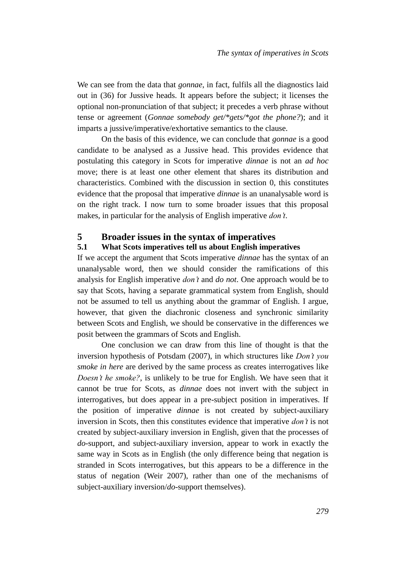We can see from the data that *gonnae*, in fact, fulfils all the diagnostics laid out in (36) for Jussive heads. It appears before the subject; it licenses the optional non-pronunciation of that subject; it precedes a verb phrase without tense or agreement (*Gonnae somebody get/\*gets/\*got the phone?*); and it imparts a jussive/imperative/exhortative semantics to the clause.

On the basis of this evidence, we can conclude that *gonnae* is a good candidate to be analysed as a Jussive head. This provides evidence that postulating this category in Scots for imperative *dinnae* is not an *ad hoc* move; there is at least one other element that shares its distribution and characteristics. Combined with the discussion in section [0,](#page-14-1) this constitutes evidence that the proposal that imperative *dinnae* is an unanalysable word is on the right track. I now turn to some broader issues that this proposal makes, in particular for the analysis of English imperative *don't*.

## <span id="page-18-0"></span>**5 Broader issues in the syntax of imperatives**

#### **5.1 What Scots imperatives tell us about English imperatives**

If we accept the argument that Scots imperative *dinnae* has the syntax of an unanalysable word, then we should consider the ramifications of this analysis for English imperative *don't* and *do not*. One approach would be to say that Scots, having a separate grammatical system from English, should not be assumed to tell us anything about the grammar of English. I argue, however, that given the diachronic closeness and synchronic similarity between Scots and English, we should be conservative in the differences we posit between the grammars of Scots and English.

One conclusion we can draw from this line of thought is that the inversion hypothesis of Potsdam (2007), in which structures like *Don't you smoke in here* are derived by the same process as creates interrogatives like *Doesn't he smoke?*, is unlikely to be true for English. We have seen that it cannot be true for Scots, as *dinnae* does not invert with the subject in interrogatives, but does appear in a pre-subject position in imperatives. If the position of imperative *dinnae* is not created by subject-auxiliary inversion in Scots, then this constitutes evidence that imperative *don't* is not created by subject-auxiliary inversion in English, given that the processes of *do*-support, and subject-auxiliary inversion, appear to work in exactly the same way in Scots as in English (the only difference being that negation is stranded in Scots interrogatives, but this appears to be a difference in the status of negation (Weir 2007), rather than one of the mechanisms of subject-auxiliary inversion/*do*-support themselves).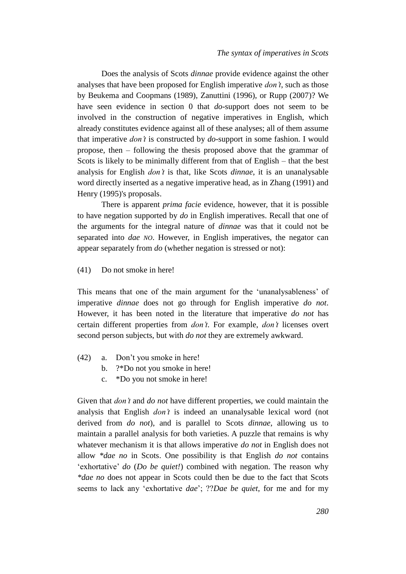Does the analysis of Scots *dinnae* provide evidence against the other analyses that have been proposed for English imperative *don't*, such as those by Beukema and Coopmans (1989), Zanuttini (1996), or Rupp (2007)? We have seen evidence in section [0](#page-10-0) that *do*-support does not seem to be involved in the construction of negative imperatives in English, which already constitutes evidence against all of these analyses; all of them assume that imperative *don't* is constructed by *do*-support in some fashion. I would propose, then – following the thesis proposed above that the grammar of Scots is likely to be minimally different from that of English – that the best analysis for English *don't* is that, like Scots *dinnae*, it is an unanalysable word directly inserted as a negative imperative head, as in Zhang (1991) and Henry (1995)'s proposals.

There is apparent *prima facie* evidence, however, that it is possible to have negation supported by *do* in English imperatives. Recall that one of the arguments for the integral nature of *dinnae* was that it could not be separated into *dae NO*. However, in English imperatives, the negator can appear separately from *do* (whether negation is stressed or not):

(41) Do not smoke in here!

This means that one of the main argument for the 'unanalysableness' of imperative *dinnae* does not go through for English imperative *do not*. However, it has been noted in the literature that imperative *do not* has certain different properties from *don't*. For example, *don't* licenses overt second person subjects, but with *do not* they are extremely awkward.

- (42) a. Don't you smoke in here!
	- b. ?\*Do not you smoke in here!
	- c. \*Do you not smoke in here!

Given that *don't* and *do not* have different properties, we could maintain the analysis that English *don't* is indeed an unanalysable lexical word (not derived from *do not*), and is parallel to Scots *dinnae*, allowing us to maintain a parallel analysis for both varieties. A puzzle that remains is why whatever mechanism it is that allows imperative *do not* in English does not allow *\*dae no* in Scots. One possibility is that English *do not* contains 'exhortative' *do* (*Do be quiet!*) combined with negation. The reason why *\*dae no* does not appear in Scots could then be due to the fact that Scots seems to lack any 'exhortative *dae*'; ??*Dae be quiet*, for me and for my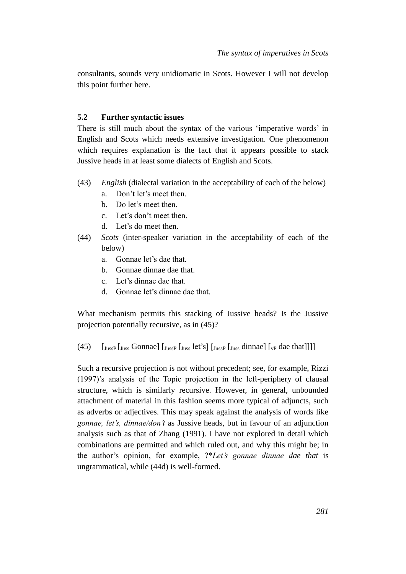consultants, sounds very unidiomatic in Scots. However I will not develop this point further here.

#### **5.2 Further syntactic issues**

There is still much about the syntax of the various 'imperative words' in English and Scots which needs extensive investigation. One phenomenon which requires explanation is the fact that it appears possible to stack Jussive heads in at least some dialects of English and Scots.

- (43) *English* (dialectal variation in the acceptability of each of the below)
	- a. Don't let's meet then.
	- b. Do let's meet then.
	- c. Let's don't meet then.
	- d. Let's do meet then.
- (44) *Scots* (inter-speaker variation in the acceptability of each of the below)
	- a. Gonnae let's dae that.
	- b. Gonnae dinnae dae that.
	- c. Let's dinnae dae that.
	- d. Gonnae let's dinnae dae that.

What mechanism permits this stacking of Jussive heads? Is the Jussive projection potentially recursive, as in (45)?

## (45)  $\left[\begin{array}{cc} J_{\text{UussP}} \left[ \begin{smallmatrix} J_{\text{UussP}} \end{smallmatrix} \left[ \begin{smallmatrix} J_{\text{UussP}} \end{smallmatrix} \left[ \begin{smallmatrix} J_{\text{UussP}} \end{smallmatrix} \left[ \begin{smallmatrix} J_{\text{UussP}} \end{smallmatrix} \left[ \begin{smallmatrix} J_{\text{UussP}} \end{smallmatrix} \left[ \begin{smallmatrix} J_{\text{UussP}} \end{smallmatrix} \left[ \begin{smallmatrix} J_{\text{UussP}} \end{smallmatrix} \left[ \begin{smallmatrix} J_{\text{UussP}} \end{smallmatrix} \right] \right$

Such a recursive projection is not without precedent; see, for example, Rizzi (1997)'s analysis of the Topic projection in the left-periphery of clausal structure, which is similarly recursive. However, in general, unbounded attachment of material in this fashion seems more typical of adjuncts, such as adverbs or adjectives. This may speak against the analysis of words like *gonnae, let's, dinnae/don't* as Jussive heads, but in favour of an adjunction analysis such as that of Zhang (1991). I have not explored in detail which combinations are permitted and which ruled out, and why this might be; in the author's opinion, for example, ?\**Let's gonnae dinnae dae that* is ungrammatical, while (44d) is well-formed.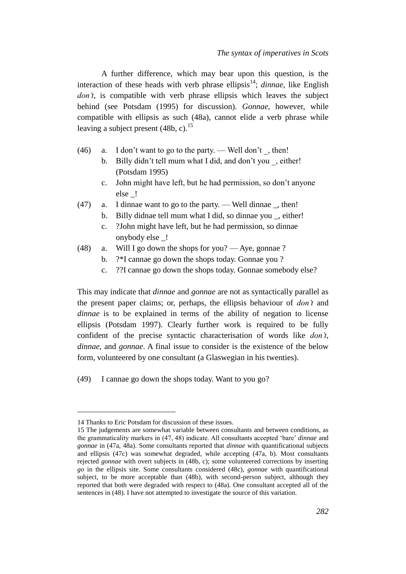A further difference, which may bear upon this question, is the interaction of these heads with verb phrase ellipsis<sup>14</sup>; *dinnae*, like English *don't*, is compatible with verb phrase ellipsis which leaves the subject behind (see Potsdam (1995) for discussion). *Gonnae*, however, while compatible with ellipsis as such (48a), cannot elide a verb phrase while leaving a subject present  $(48b, c)$ .<sup>15</sup>

- $(46)$  a. I don't want to go to the party. Well don't, then!
	- b. Billy didn't tell mum what I did, and don't you, either! (Potsdam 1995)
	- c. John might have left, but he had permission, so don't anyone else \_!
- (47) a. I dinnae want to go to the party. Well dinnae \_, then!
	- b. Billy didnae tell mum what I did, so dinnae you , either!
	- c. ?John might have left, but he had permission, so dinnae onybody else \_!
- (48) a. Will I go down the shops for you? Aye, gonnae ?
	- b. ?\*I cannae go down the shops today. Gonnae you ?
	- c. ??I cannae go down the shops today. Gonnae somebody else?

This may indicate that *dinnae* and *gonnae* are not as syntactically parallel as the present paper claims; or, perhaps, the ellipsis behaviour of *don't* and *dinnae* is to be explained in terms of the ability of negation to license ellipsis (Potsdam 1997). Clearly further work is required to be fully confident of the precise syntactic characterisation of words like *don't*, *dinnae*, and *gonnae*. A final issue to consider is the existence of the below form, volunteered by one consultant (a Glaswegian in his twenties).

(49) I cannae go down the shops today. Want to you go?

 $\overline{a}$ 

<sup>14</sup> Thanks to Eric Potsdam for discussion of these issues.

<sup>15</sup> The judgements are somewhat variable between consultants and between conditions, as the grammaticality markers in (47, 48) indicate. All consultants accepted 'bare' *dinnae* and *gonnae* in (47a, 48a). Some consultants reported that *dinnae* with quantificational subjects and ellipsis (47c) was somewhat degraded, while accepting (47a, b). Most consultants rejected *gonnae* with overt subjects in (48b, c); some volunteered corrections by inserting *go* in the ellipsis site. Some consultants considered (48c), *gonnae* with quantificational subject, to be more acceptable than (48b), with second-person subject, although they reported that both were degraded with respect to (48a). One consultant accepted all of the sentences in (48). I have not attempted to investigate the source of this variation.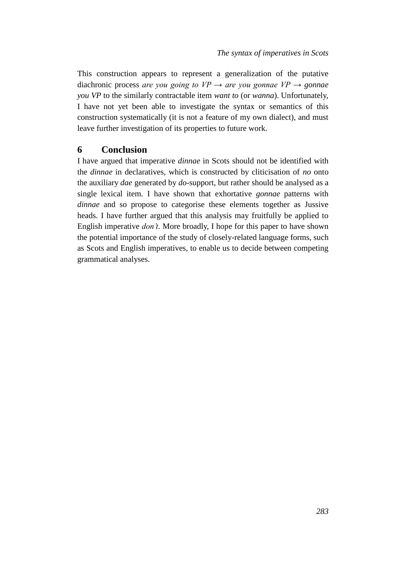This construction appears to represent a generalization of the putative diachronic process *are you going to*  $VP \rightarrow \text{are you}$  *gonnae*  $VP \rightarrow \text{gonnae}$ *you VP* to the similarly contractable item *want to* (or *wanna*). Unfortunately, I have not yet been able to investigate the syntax or semantics of this construction systematically (it is not a feature of my own dialect), and must leave further investigation of its properties to future work.

## <span id="page-22-0"></span>**6 Conclusion**

I have argued that imperative *dinnae* in Scots should not be identified with the *dinnae* in declaratives, which is constructed by cliticisation of *no* onto the auxiliary *dae* generated by *do*-support, but rather should be analysed as a single lexical item. I have shown that exhortative *gonnae* patterns with *dinnae* and so propose to categorise these elements together as Jussive heads. I have further argued that this analysis may fruitfully be applied to English imperative *don't*. More broadly, I hope for this paper to have shown the potential importance of the study of closely-related language forms, such as Scots and English imperatives, to enable us to decide between competing grammatical analyses.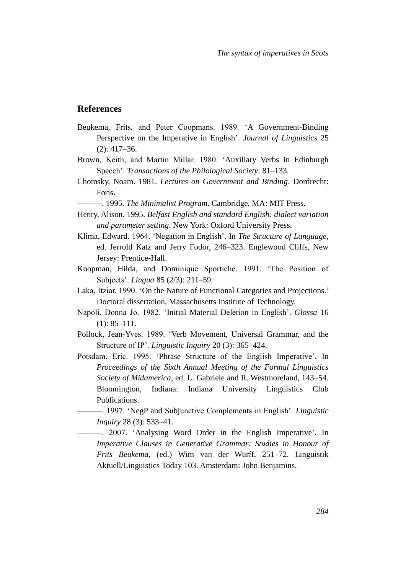## **References**

- Beukema, Frits, and Peter Coopmans. 1989. 'A Government-Binding Perspective on the Imperative in English'. *Journal of Linguistics* 25 (2): 417–36.
- Brown, Keith, and Martin Millar. 1980. 'Auxiliary Verbs in Edinburgh Speech'. *Transactions of the Philological Society*: 81–133.
- Chomsky, Noam. 1981. *Lectures on Government and Binding*. Dordrecht: Foris.
- ———. 1995. *The Minimalist Program*. Cambridge, MA: MIT Press.
- Henry, Alison. 1995. *Belfast English and standard English: dialect variation and parameter setting*. New York: Oxford University Press.
- Klima, Edward. 1964. 'Negation in English'. In *The Structure of Language*, ed. Jerrold Katz and Jerry Fodor, 246–323. Englewood Cliffs, New Jersey: Prentice-Hall.
- Koopman, Hilda, and Dominique Sportiche. 1991. 'The Position of Subjects'. *Lingua* 85 (2/3): 211–59.
- Laka, Itziar. 1990. 'On the Nature of Functional Categories and Projections.' Doctoral dissertation, Massachusetts Institute of Technology.
- Napoli, Donna Jo. 1982. 'Initial Material Deletion in English'. *Glossa* 16 (1): 85–111.
- Pollock, Jean-Yves. 1989. 'Verb Movement, Universal Grammar, and the Structure of IP'. *Linguistic Inquiry* 20 (3): 365–424.
- Potsdam, Eric. 1995. 'Phrase Structure of the English Imperative'. In *Proceedings of the Sixth Annual Meeting of the Formal Linguistics Society of Midamerica*, ed. L. Gabriele and R. Westmoreland, 143–54. Bloomington, Indiana: Indiana University Linguistics Club Publications.
	- ———. 1997. 'NegP and Subjunctive Complements in English'. *Linguistic Inquiry* 28 (3): 533–41.
		- ———. 2007. 'Analysing Word Order in the English Imperative'. In *Imperative Clauses in Generative Grammar: Studies in Honour of Frits Beukema*, (ed.) Wim van der Wurff, 251–72. Linguistik Aktuell/Linguistics Today 103. Amsterdam: John Benjamins.